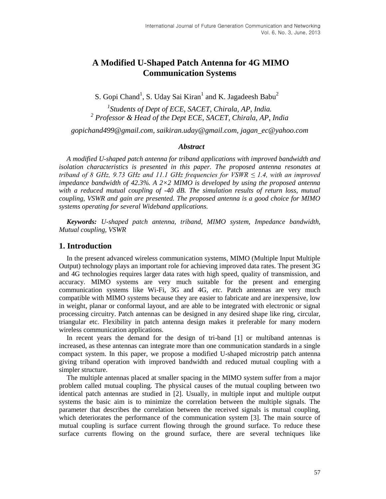# **A Modified U-Shaped Patch Antenna for 4G MIMO Communication Systems**

S. Gopi Chand<sup>1</sup>, S. Uday Sai Kiran<sup>1</sup> and K. Jagadeesh Babu<sup>2</sup>

*1 Students of Dept of ECE, SACET, Chirala, AP, India. 2 Professor & Head of the Dept ECE, SACET, Chirala, AP, India*

*gopichand499@gmail.com, saikiran.uday@gmail.com, jagan\_ec@yahoo.com*

## *Abstract*

*A modified U-shaped patch antenna for triband applications with improved bandwidth and isolation characteristics is presented in this paper. The proposed antenna resonates at triband of 8 GHz, 9.73 GHz and 11.1 GHz frequencies for VSWR ≤ 1.4, with an improved impedance bandwidth of 42.3%. A 2×2 MIMO is developed by using the proposed antenna with a reduced mutual coupling of -40 dB. The simulation results of return loss, mutual coupling, VSWR and gain are presented. The proposed antenna is a good choice for MIMO systems operating for several Wideband applications.* 

*Keywords: U-shaped patch antenna, triband, MIMO system, Impedance bandwidth, Mutual coupling, VSWR*

## **1. Introduction**

In the present advanced wireless communication systems, MIMO (Multiple Input Multiple Output) technology plays an important role for achieving improved data rates. The present 3G and 4G technologies requires larger data rates with high speed, quality of transmission, and accuracy. MIMO systems are very much suitable for the present and emerging communication systems like Wi-Fi, 3G and 4G, *etc.* Patch antennas are very much compatible with MIMO systems because they are easier to fabricate and are inexpensive, low in weight, planar or conformal layout, and are able to be integrated with electronic or signal processing circuitry. Patch antennas can be designed in any desired shape like ring, circular, triangular etc. Flexibility in patch antenna design makes it preferable for many modern wireless communication applications.

In recent years the demand for the design of tri-band [1] or multiband antennas is increased, as these antennas can integrate more than one communication standards in a single compact system. In this paper, we propose a modified U-shaped microstrip patch antenna giving triband operation with improved bandwidth and reduced mutual coupling with a simpler structure.

The multiple antennas placed at smaller spacing in the MIMO system suffer from a major problem called mutual coupling. The physical causes of the mutual coupling between two identical patch antennas are studied in [2]. Usually, in multiple input and multiple output systems the basic aim is to minimize the correlation between the multiple signals. The parameter that describes the correlation between the received signals is mutual coupling, which deteriorates the performance of the communication system [3]. The main source of mutual coupling is surface current flowing through the ground surface. To reduce these surface currents flowing on the ground surface, there are several techniques like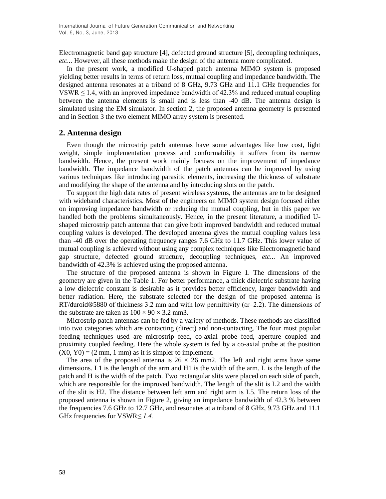Electromagnetic band gap structure [4], defected ground structure [5], decoupling techniques, *etc...* However, all these methods make the design of the antenna more complicated.

In the present work, a modified U-shaped patch antenna MIMO system is proposed yielding better results in terms of return loss, mutual coupling and impedance bandwidth. The designed antenna resonates at a triband of 8 GHz, 9.73 GHz and 11.1 GHz frequencies for VSWR  $\leq$  1.4, with an improved impedance bandwidth of 42.3% and reduced mutual coupling between the antenna elements is small and is less than -40 dB. The antenna design is simulated using the EM simulator. In section 2, the proposed antenna geometry is presented and in Section 3 the two element MIMO array system is presented.

## **2. Antenna design**

Even though the microstrip patch antennas have some advantages like low cost, light weight, simple implementation process and conformability it suffers from its narrow bandwidth. Hence, the present work mainly focuses on the improvement of impedance bandwidth. The impedance bandwidth of the patch antennas can be improved by using various techniques like introducing parasitic elements, increasing the thickness of substrate and modifying the shape of the antenna and by introducing slots on the patch.

To support the high data rates of present wireless systems, the antennas are to be designed with wideband characteristics. Most of the engineers on MIMO system design focused either on improving impedance bandwidth or reducing the mutual coupling, but in this paper we handled both the problems simultaneously. Hence, in the present literature, a modified Ushaped microstrip patch antenna that can give both improved bandwidth and reduced mutual coupling values is developed. The developed antenna gives the mutual coupling values less than -40 dB over the operating frequency ranges 7.6 GHz to 11.7 GHz. This lower value of mutual coupling is achieved without using any complex techniques like Electromagnetic band gap structure, defected ground structure, decoupling techniques, *etc...* An improved bandwidth of 42.3% is achieved using the proposed antenna.

The structure of the proposed antenna is shown in Figure 1. The dimensions of the geometry are given in the Table 1. For better performance, a thick dielectric substrate having a low dielectric constant is desirable as it provides better efficiency, larger bandwidth and better radiation. Here, the substrate selected for the design of the proposed antenna is  $RT/duroid@5880$  of thickness 3.2 mm and with low permittivity ( $\epsilon$ r=2.2). The dimensions of the substrate are taken as  $100 \times 90 \times 3.2$  mm3.

Microstrip patch antennas can be fed by a variety of methods. These methods are classified into two categories which are contacting (direct) and non-contacting. The four most popular feeding techniques used are microstrip feed, co-axial probe feed, aperture coupled and proximity coupled feeding. Here the whole system is fed by a co-axial probe at the position  $(X0, Y0) = (2 \text{ mm}, 1 \text{ mm})$  as it is simpler to implement.

The area of the proposed antenna is  $26 \times 26$  mm2. The left and right arms have same dimensions. L1 is the length of the arm and H1 is the width of the arm. L is the length of the patch and H is the width of the patch. Two rectangular slits were placed on each side of patch, which are responsible for the improved bandwidth. The length of the slit is L2 and the width of the slit is H2. The distance between left arm and right arm is L5. The return loss of the proposed antenna is shown in Figure 2, giving an impedance bandwidth of 42.3 % between the frequencies 7.6 GHz to 12.7 GHz, and resonates at a triband of 8 GHz, 9.73 GHz and 11.1 GHz frequencies for VSWR*≤ 1.4.*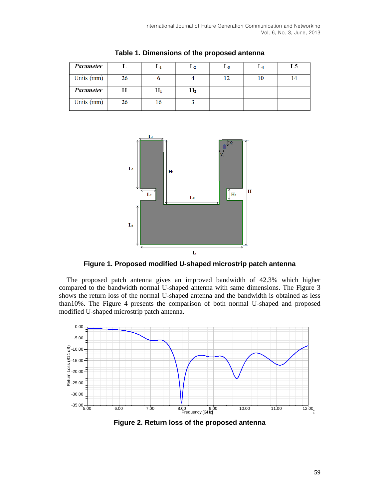| Parameter  |    | ы            | $L_{2}$ | L3                       | L4 | L5 |
|------------|----|--------------|---------|--------------------------|----|----|
| Units (mm) | 26 |              |         | 12                       | 10 | 14 |
| Parameter  | н  | $\rm{H}_{1}$ | $H_2$   | $\overline{\phantom{m}}$ | -  |    |
| Units (mm) | 26 | 16           |         |                          |    |    |

**Table 1. Dimensions of the proposed antenna**



**Figure 1. Proposed modified U-shaped microstrip patch antenna**

The proposed patch antenna gives an improved bandwidth of 42.3% which higher compared to the bandwidth normal U-shaped antenna with same dimensions. The Figure 3 shows the return loss of the normal U-shaped antenna and the bandwidth is obtained as less than10%. The Figure 4 presents the comparison of both normal U-shaped and proposed modified U-shaped microstrip patch antenna.



**Figure 2. Return loss of the proposed antenna**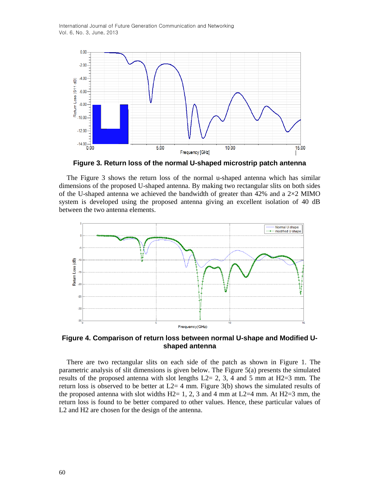International Journal of Future Generation Communication and Networking Vol. 6, No. 3, June, 2013



**Figure 3. Return loss of the normal U-shaped microstrip patch antenna**

The Figure 3 shows the return loss of the normal u-shaped antenna which has similar dimensions of the proposed U-shaped antenna. By making two rectangular slits on both sides of the U-shaped antenna we achieved the bandwidth of greater than 42% and a  $2\times2$  MIMO system is developed using the proposed antenna giving an excellent isolation of 40 dB between the two antenna elements.



**Figure 4. Comparison of return loss between normal U-shape and Modified Ushaped antenna**

There are two rectangular slits on each side of the patch as shown in Figure 1. The parametric analysis of slit dimensions is given below. The Figure 5(a) presents the simulated results of the proposed antenna with slot lengths  $L2= 2, 3, 4$  and 5 mm at H2=3 mm. The return loss is observed to be better at  $L2=4$  mm. Figure 3(b) shows the simulated results of the proposed antenna with slot widths H2= 1, 2, 3 and 4 mm at L2=4 mm. At H2=3 mm, the return loss is found to be better compared to other values. Hence, these particular values of L2 and H2 are chosen for the design of the antenna.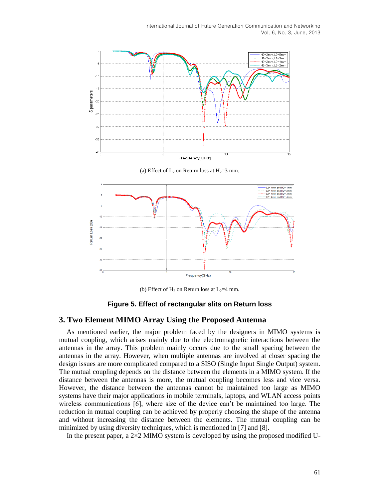

Frequency(GHz)

(b) Effect of  $H_2$  on Return loss at  $L_2=4$  mm.

#### **Figure 5. Effect of rectangular slits on Return loss**

## **3. Two Element MIMO Array Using the Proposed Antenna**

As mentioned earlier, the major problem faced by the designers in MIMO systems is mutual coupling, which arises mainly due to the electromagnetic interactions between the antennas in the array. This problem mainly occurs due to the small spacing between the antennas in the array. However, when multiple antennas are involved at closer spacing the design issues are more complicated compared to a SISO (Single Input Single Output) system. The mutual coupling depends on the distance between the elements in a MIMO system. If the distance between the antennas is more, the mutual coupling becomes less and vice versa. However, the distance between the antennas cannot be maintained too large as MIMO systems have their major applications in mobile terminals, laptops, and WLAN access points wireless communications [6], where size of the device can't be maintained too large. The reduction in mutual coupling can be achieved by properly choosing the shape of the antenna and without increasing the distance between the elements. The mutual coupling can be minimized by using diversity techniques, which is mentioned in [7] and [8].

In the present paper, a  $2\times2$  MIMO system is developed by using the proposed modified U-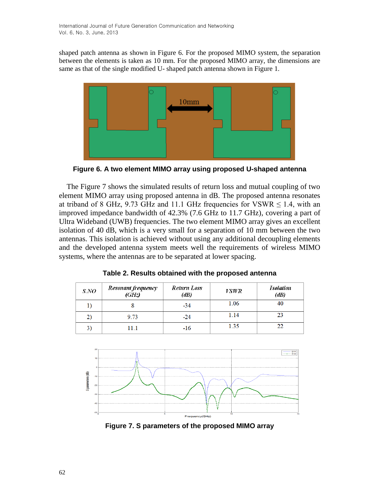shaped patch antenna as shown in Figure 6. For the proposed MIMO system, the separation between the elements is taken as 10 mm. For the proposed MIMO array, the dimensions are same as that of the single modified U- shaped patch antenna shown in Figure 1.



**Figure 6. A two element MIMO array using proposed U-shaped antenna**

The Figure 7 shows the simulated results of return loss and mutual coupling of two element MIMO array using proposed antenna in dB. The proposed antenna resonates at triband of 8 GHz, 9.73 GHz and 11.1 GHz frequencies for VSWR  $\leq$  1.4, with an improved impedance bandwidth of 42.3% (7.6 GHz to 11.7 GHz), covering a part of Ultra Wideband (UWB) frequencies. The two element MIMO array gives an excellent isolation of 40 dB, which is a very small for a separation of 10 mm between the two antennas. This isolation is achieved without using any additional decoupling elements and the developed antenna system meets well the requirements of wireless MIMO systems, where the antennas are to be separated at lower spacing.

| S.NO | Resonant frequency<br>(GHz) | Return Loss<br>(dB) | <i>VSWR</i> | <b>Isolation</b><br>(dB) |
|------|-----------------------------|---------------------|-------------|--------------------------|
|      |                             | $-34$               | 1.06        | 40                       |
| 2)   | 9.73                        | $-24$               | 1.14        | 23                       |
| 3    | 11.1                        | -16                 | 1.35        |                          |

**Table 2. Results obtained with the proposed antenna**



**Figure 7. S parameters of the proposed MIMO array**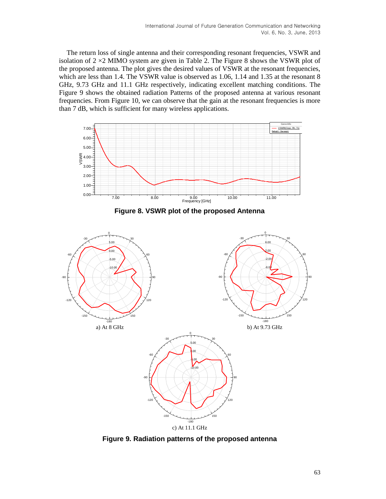The return loss of single antenna and their corresponding resonant frequencies, VSWR and isolation of  $2 \times 2$  MIMO system are given in Table 2. The Figure 8 shows the VSWR plot of the proposed antenna. The plot gives the desired values of VSWR at the resonant frequencies, which are less than 1.4. The VSWR value is observed as 1.06, 1.14 and 1.35 at the resonant 8 GHz, 9.73 GHz and 11.1 GHz respectively, indicating excellent matching conditions. The Figure 9 shows the obtained radiation Patterns of the proposed antenna at various resonant frequencies. From Figure 10, we can observe that the gain at the resonant frequencies is more than 7 dB, which is sufficient for many wireless applications.



**Figure 8. VSWR plot of the proposed Antenna**



**Figure 9. Radiation patterns of the proposed antenna**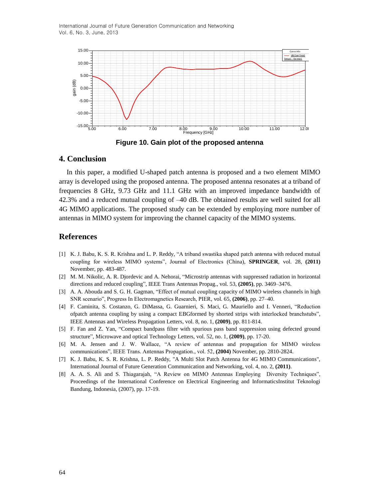International Journal of Future Generation Communication and Networking Vol. 6, No. 3, June, 2013



**Figure 10. Gain plot of the proposed antenna**

## **4. Conclusion**

In this paper, a modified U-shaped patch antenna is proposed and a two element MIMO array is developed using the proposed antenna. The proposed antenna resonates at a triband of frequencies 8 GHz, 9.73 GHz and 11.1 GHz with an improved impedance bandwidth of 42.3% and a reduced mutual coupling of –40 dB. The obtained results are well suited for all 4G MIMO applications. The proposed study can be extended by employing more number of antennas in MIMO system for improving the channel capacity of the MIMO systems.

## **References**

- [1] K. J. Babu, K. S. R. Krishna and L. P. Reddy, "A triband swastika shaped patch antenna with reduced mutual coupling for wireless MIMO systems", Journal of Electronics (China), **SPRINGER**, vol. 28, **(2011)** November, pp. 483-487.
- [2] M. M. Nikolic, A. R. Djordevic and A. Nehorai, "Microstrip antennas with suppressed radiation in horizontal directions and reduced coupling", IEEE Trans Antennas Propag., vol. 53, **(2005)**, pp. 3469–3476.
- [3] A. A. Abouda and S. G. H. Gagman, "Effect of mutual coupling capacity of MIMO wireless channels in high SNR scenario", Progress In Electromagnetics Research, PIER, vol. 65, **(2006)**, pp. 27–40.
- [4] F. Caminita, S. Costanzo, G. DiMassa, G. Guarnieri, S. Maci, G. Mauriello and I. Venneri, "Reduction ofpatch antenna coupling by using a compact EBGformed by shorted strips with interlocked branchstubs", IEEE Antennas and Wireless Propagation Letters, vol. 8, no. 1, **(2009)**, pp. 811-814.
- [5] F. Fan and Z. Yan, "Compact bandpass filter with spurious pass band suppression using defected ground structure", Microwave and optical Technology Letters, vol. 52, no. 1, **(2009)**, pp. 17-20.
- [6] M. A. Jensen and J. W. Wallace, "A review of antennas and propagation for MIMO wireless communications", IEEE Trans. Antennas Propagation., vol. 52, **(2004)** November, pp. 2810-2824.
- [7] K. J. Babu, K. S. R. Krishna, L. P. Reddy, "A Multi Slot Patch Antenna for 4G MIMO Communications", International Journal of Future Generation Communication and Networking, vol. 4, no. 2, **(2011)**.
- [8] A. A. S. Ali and S. Thiagarajah, "A Review on MIMO Antennas Employing Diversity Techniques", Proceedings of the International Conference on Electrical Engineering and InformaticsInstitut Teknologi Bandung, Indonesia, (2007), pp. 17-19.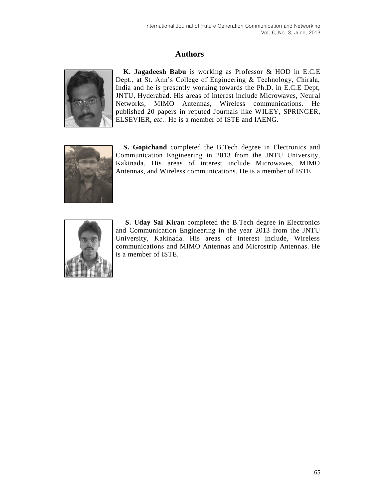# **Authors**



**K. Jagadeesh Babu** is working as Professor & HOD in E.C.E Dept., at St. Ann's College of Engineering & Technology, Chirala, India and he is presently working towards the Ph.D. in E.C.E Dept, JNTU, Hyderabad. His areas of interest include Microwaves, Neural Networks, MIMO Antennas, Wireless communications. He published 20 papers in reputed Journals like WILEY, SPRINGER, ELSEVIER, *etc..* He is a member of ISTE and IAENG.



**S. Gopichand** completed the B.Tech degree in Electronics and Communication Engineering in 2013 from the JNTU University, Kakinada. His areas of interest include Microwaves, MIMO Antennas, and Wireless communications. He is a member of ISTE.



**S. Uday Sai Kiran** completed the B.Tech degree in Electronics and Communication Engineering in the year 2013 from the JNTU University, Kakinada. His areas of interest include, Wireless communications and MIMO Antennas and Microstrip Antennas. He is a member of ISTE.